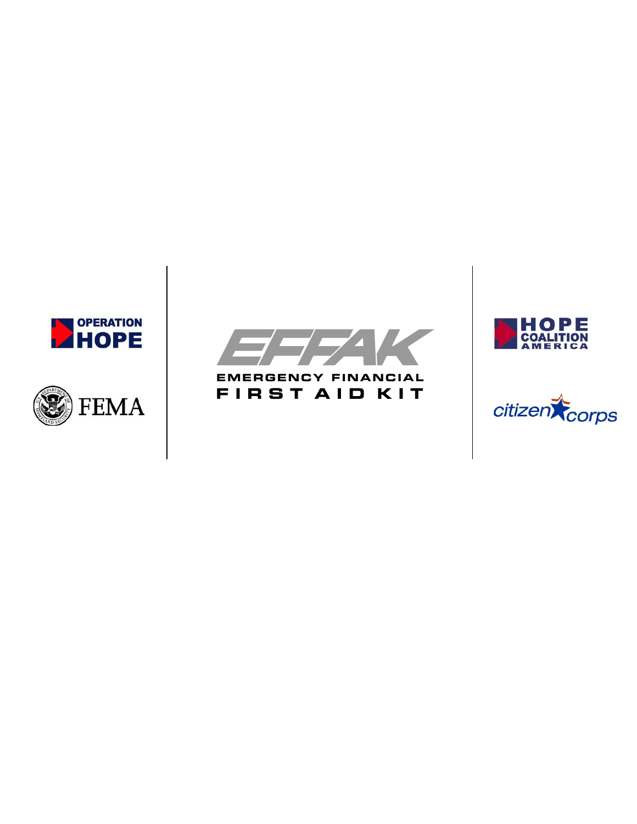





**EMERGENCY FINANCIAL F I R S T A I D K I T**



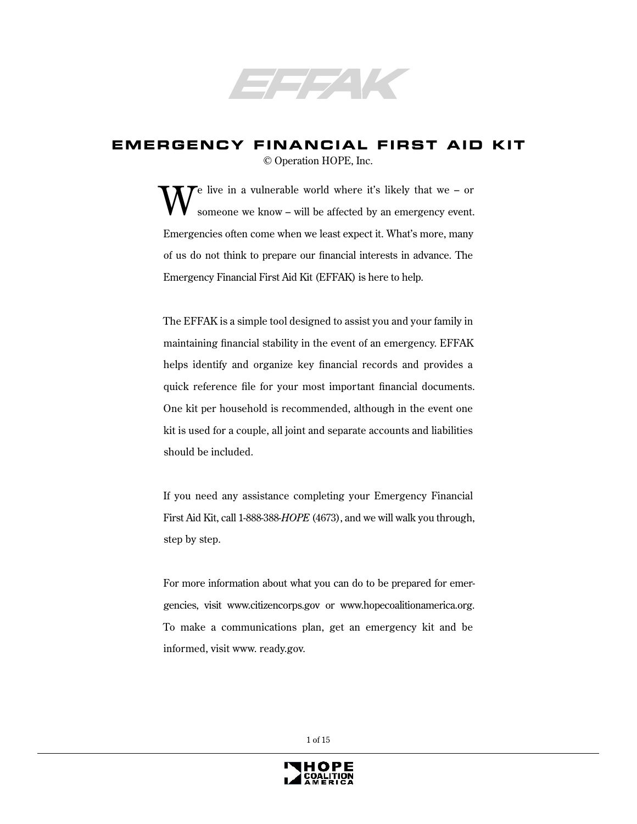

### **EMERGENCY FINANCIAL FIRST AID KIT** © Operation HOPE, Inc.

 $\mathcal{T}$ e live in a vulnerable world where it's likely that we – or someone we know – will be affected by an emergency event. Emergencies often come when we least expect it. What's more, many of us do not think to prepare our financial interests in advance. The Emergency Financial First Aid Kit (EFFAK) is here to help.

The EFFAK is a simple tool designed to assist you and your family in maintaining financial stability in the event of an emergency. EFFAK helps identify and organize key financial records and provides a quick reference file for your most important financial documents. One kit per household is recommended, although in the event one kit is used for a couple, all joint and separate accounts and liabilities should be included.

If you need any assistance completing your Emergency Financial First Aid Kit, call 1-888-388-*HOPE* (4673), and we will walk you through, step by step.

For more information about what you can do to be prepared for emergencies, visit www.citizencorps.gov or www.hopecoalitionamerica.org. To make a communications plan, get an emergency kit and be informed, visit www. ready.gov.

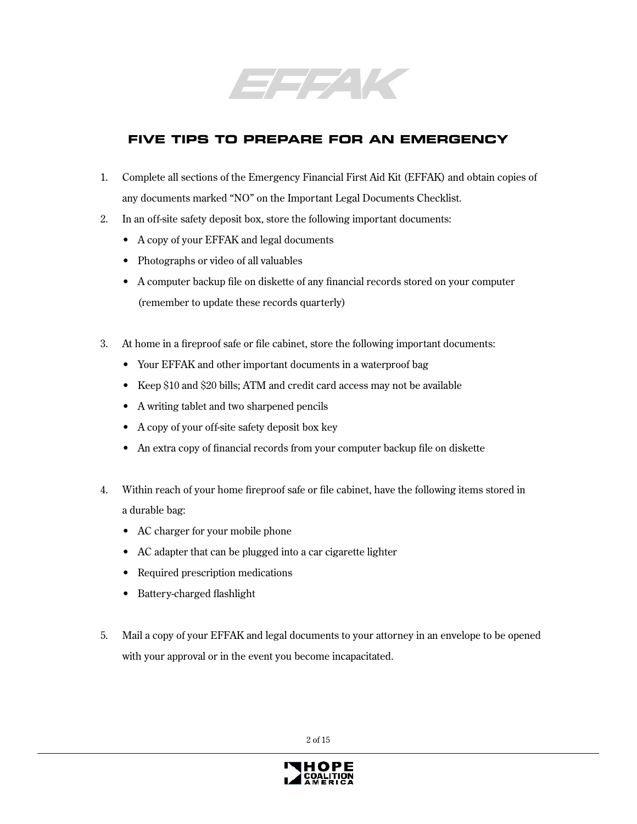

# **FIVE TIPS TO PREPARE FOR AN EMERGENCY**

- 1. Complete all sections of the Emergency Financial First Aid Kit (EFFAK) and obtain copies of any documents marked "NO" on the Important Legal Documents Checklist.
- 2. In an off-site safety deposit box, store the following important documents:
	- A copy of your EFFAK and legal documents
	- Photographs or video of all valuables
	- A computer backup file on diskette of any financial records stored on your computer (remember to update these records quarterly)
- 3. At home in a fireproof safe or file cabinet, store the following important documents:
	- Your EFFAK and other important documents in a waterproof bag
	- Keep \$10 and \$20 bills; ATM and credit card access may not be available
	- A writing tablet and two sharpened pencils
	- A copy of your off-site safety deposit box key
	- An extra copy of financial records from your computer backup file on diskette
- 4. Within reach of your home fireproof safe or file cabinet, have the following items stored in a durable bag:
	- AC charger for your mobile phone
	- AC adapter that can be plugged into a car cigarette lighter
	- Required prescription medications
	- Battery-charged flashlight
- 5. Mail a copy of your EFFAK and legal documents to your attorney in an envelope to be opened with your approval or in the event you become incapacitated.

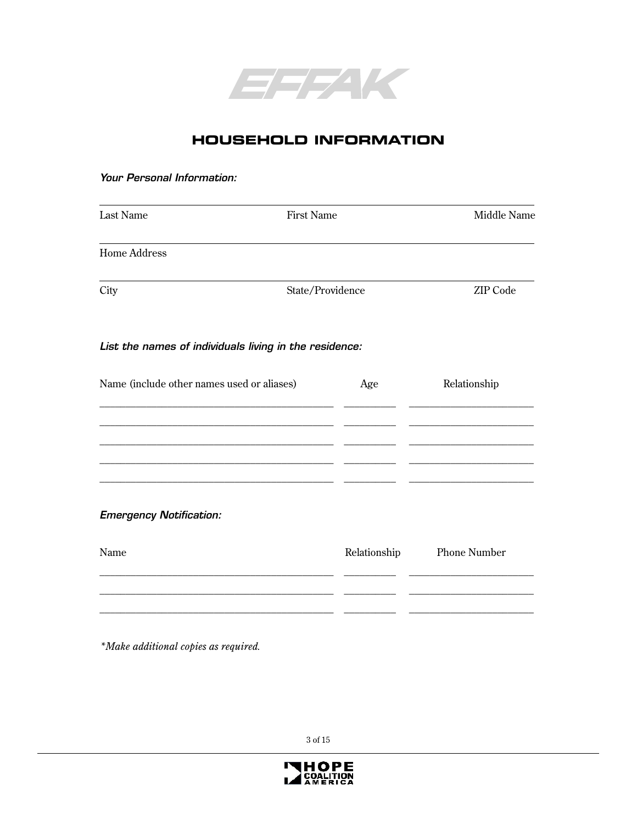

# **HOUSEHOLD INFORMATION**

#### Your Personal Information:

| Last Name                                              | <b>First Name</b> |                  | Middle Name         |
|--------------------------------------------------------|-------------------|------------------|---------------------|
| <b>Home Address</b>                                    |                   |                  |                     |
| City                                                   |                   | State/Providence | <b>ZIP</b> Code     |
| List the names of individuals living in the residence: |                   |                  |                     |
| Name (include other names used or aliases)             |                   | Age              | Relationship        |
|                                                        |                   |                  |                     |
|                                                        |                   |                  |                     |
|                                                        |                   |                  |                     |
| <b>Emergency Notification:</b>                         |                   |                  |                     |
| Name                                                   |                   | Relationship     | <b>Phone Number</b> |
|                                                        |                   |                  |                     |
|                                                        |                   |                  |                     |

*\*Make additional copies as required.*

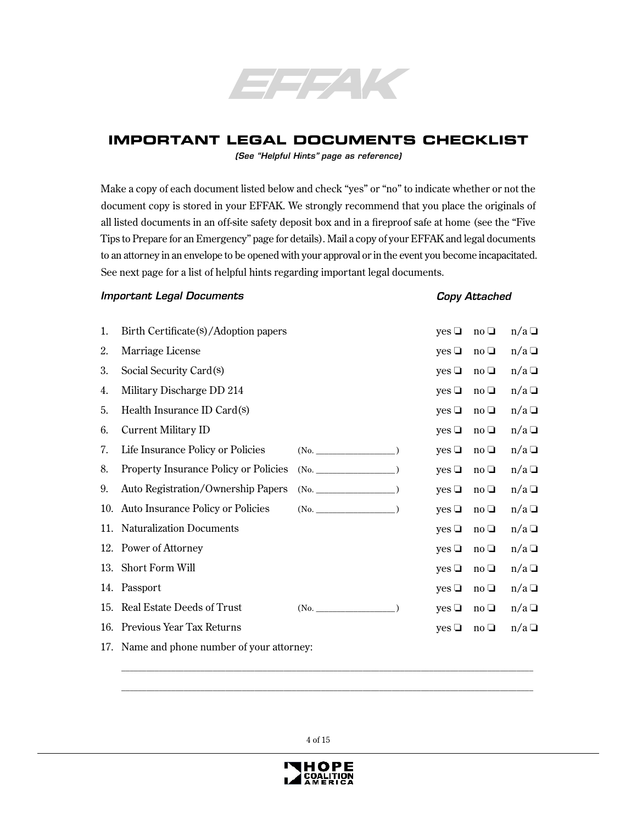

## **IMPORTANT LEGAL DOCUMENTS CHECKLIST**

(See "Helpful Hints" page as reference)

Make a copy of each document listed below and check "yes" or "no" to indicate whether or not the document copy is stored in your EFFAK. We strongly recommend that you place the originals of all listed documents in an off-site safety deposit box and in a fireproof safe at home (see the "Five Tips to Prepare for an Emergency" page for details). Mail a copy of your EFFAK and legal documents to an attorney in an envelope to be opened with your approval or in the event you become incapacitated. See next page for a list of helpful hints regarding important legal documents.

#### Important Legal Documents

#### Copy Attached

| 1.  | Birth Certificate(s)/Adoption papers         |                 | $yes \Box$ | $no \square$ | $n/a \Box$ |
|-----|----------------------------------------------|-----------------|------------|--------------|------------|
| 2.  | Marriage License                             |                 | $yes \Box$ | $no \square$ | $n/a \Box$ |
| 3.  | Social Security Card(s)                      |                 | $yes \Box$ | $no \square$ | $n/a \Box$ |
| 4.  | Military Discharge DD 214                    |                 | yes $\Box$ | $no \square$ | $n/a \Box$ |
| 5.  | Health Insurance ID Card(s)                  |                 | yes $\Box$ | $no \square$ | $n/a \Box$ |
| 6.  | Current Military ID                          |                 | $yes \Box$ | $no \square$ | $n/a \Box$ |
| 7.  | Life Insurance Policy or Policies            | (No.            | yes $\Box$ | $no \square$ | $n/a \Box$ |
| 8.  | <b>Property Insurance Policy or Policies</b> | $(N0,\qquad)$   | $yes \Box$ | $no \square$ | $n/a \Box$ |
| 9.  | <b>Auto Registration/Ownership Papers</b>    | $(N0,\qquad)$   | $yes \Box$ | $no \square$ | $n/a \Box$ |
|     | 10. Auto Insurance Policy or Policies        | $(N0,\t)$       | yes $\Box$ | $no \square$ | $n/a \Box$ |
| 11. | <b>Naturalization Documents</b>              |                 | yes $\Box$ | $no \square$ | $n/a \Box$ |
|     | 12. Power of Attorney                        |                 | $yes \Box$ | $no \square$ | $n/a \Box$ |
|     | 13. Short Form Will                          |                 | $yes \Box$ | $no \square$ | $n/a \Box$ |
|     | 14. Passport                                 |                 | $yes \Box$ | $no \square$ | $n/a \Box$ |
| 15. | <b>Real Estate Deeds of Trust</b>            | $(No.$ (No. $)$ | yes $\Box$ | $no \square$ | $n/a \Box$ |
|     | 16. Previous Year Tax Returns                |                 | $yes \Box$ | $no \square$ | $n/a \Box$ |
|     | 17. Name and phone number of your attorney:  |                 |            |              |            |

4 of 15

\_\_\_\_\_\_\_\_\_\_\_\_\_\_\_\_\_\_\_\_\_\_\_\_\_\_\_\_\_\_\_\_\_\_\_\_\_\_\_\_\_\_\_\_\_\_\_\_\_\_\_\_\_\_\_\_\_\_\_\_\_\_\_\_\_\_\_\_\_\_\_\_\_\_\_\_\_\_\_\_\_\_\_\_\_\_\_\_\_\_\_\_\_\_\_\_\_\_\_  $\_$  ,  $\_$  ,  $\_$  ,  $\_$  ,  $\_$  ,  $\_$  ,  $\_$  ,  $\_$  ,  $\_$  ,  $\_$  ,  $\_$  ,  $\_$  ,  $\_$  ,  $\_$  ,  $\_$  ,  $\_$  ,  $\_$  ,  $\_$  ,  $\_$  ,  $\_$  ,  $\_$  ,  $\_$  ,  $\_$  ,  $\_$  ,  $\_$  ,  $\_$  ,  $\_$  ,  $\_$  ,  $\_$  ,  $\_$  ,  $\_$  ,  $\_$  ,  $\_$  ,  $\_$  ,  $\_$  ,  $\_$  ,  $\_$  ,

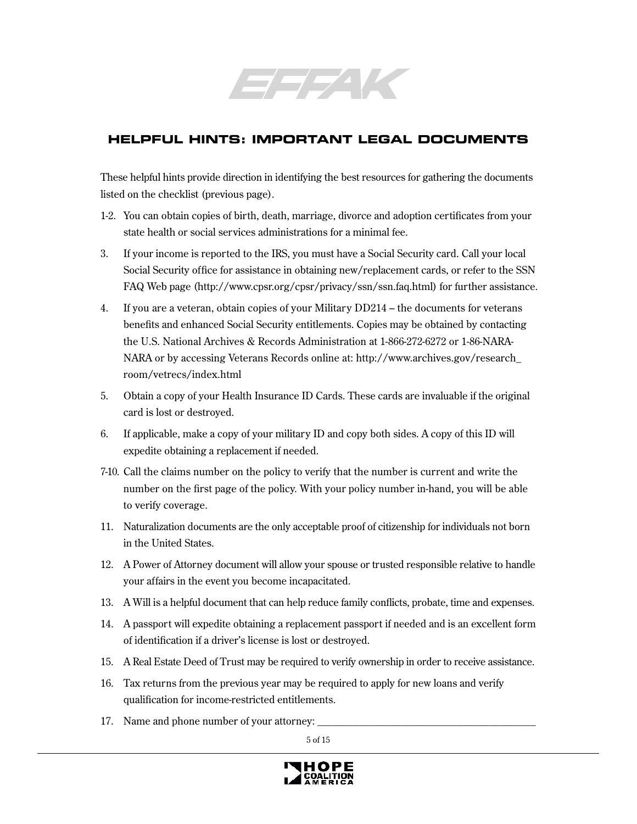

# **HELPFUL HINTS: IMPORTANT LEGAL DOCUMENTS**

These helpful hints provide direction in identifying the best resources for gathering the documents listed on the checklist (previous page).

- 1-2. You can obtain copies of birth, death, marriage, divorce and adoption certificates from your state health or social services administrations for a minimal fee.
- 3. If your income is reported to the IRS, you must have a Social Security card. Call your local Social Security office for assistance in obtaining new/replacement cards, or refer to the SSN FAQ Web page (http://www.cpsr.org/cpsr/privacy/ssn/ssn.faq.html) for further assistance.
- 4. If you are a veteran, obtain copies of your Military DD214 the documents for veterans benefits and enhanced Social Security entitlements. Copies may be obtained by contacting the U.S. National Archives & Records Administration at 1-866-272-6272 or 1-86-NARA-NARA or by accessing Veterans Records online at: http://www.archives.gov/research\_ room/vetrecs/index.html
- 5. Obtain a copy of your Health Insurance ID Cards. These cards are invaluable if the original card is lost or destroyed.
- 6. If applicable, make a copy of your military ID and copy both sides. A copy of this ID will expedite obtaining a replacement if needed.
- 7-10. Call the claims number on the policy to verify that the number is current and write the number on the first page of the policy. With your policy number in-hand, you will be able to verify coverage.
- 11. Naturalization documents are the only acceptable proof of citizenship for individuals not born in the United States.
- 12. A Power of Attorney document will allow your spouse or trusted responsible relative to handle your affairs in the event you become incapacitated.
- 13. A Will is a helpful document that can help reduce family conflicts, probate, time and expenses.
- 14. A passport will expedite obtaining a replacement passport if needed and is an excellent form of identification if a driver's license is lost or destroyed.
- 15. A Real Estate Deed of Trust may be required to verify ownership in order to receive assistance.
- 16. Tax returns from the previous year may be required to apply for new loans and verify qualification for income-restricted entitlements.
- 17. Name and phone number of your attorney:

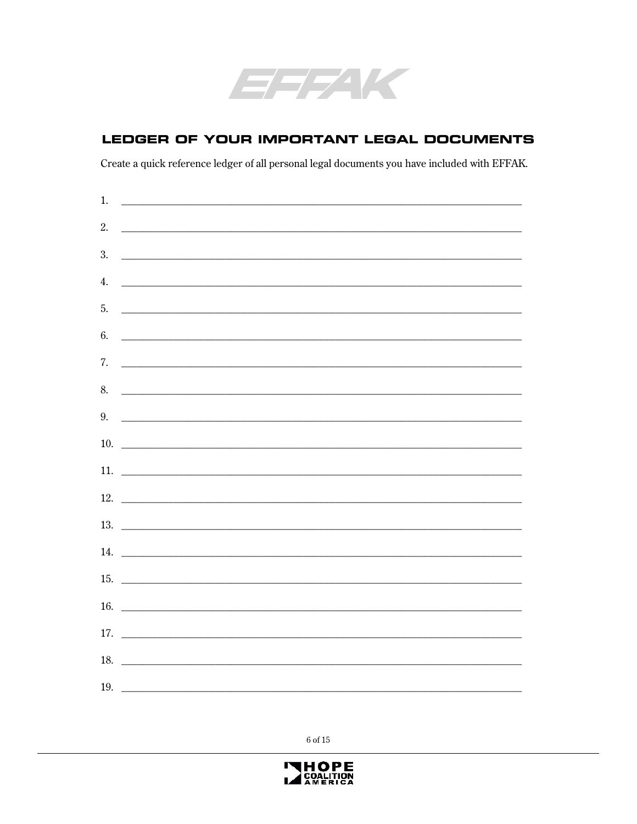

## LEDGER OF YOUR IMPORTANT LEGAL DOCUMENTS

Create a quick reference ledger of all personal legal documents you have included with EFFAK.

| 1.  |                                                                                                                        |  |  |
|-----|------------------------------------------------------------------------------------------------------------------------|--|--|
| 2.  |                                                                                                                        |  |  |
| 3.  |                                                                                                                        |  |  |
| 4.  |                                                                                                                        |  |  |
| 5.  |                                                                                                                        |  |  |
| 6.  |                                                                                                                        |  |  |
|     |                                                                                                                        |  |  |
| 7.  |                                                                                                                        |  |  |
| 8.  |                                                                                                                        |  |  |
| 9.  | <u> 1988 - Johann Barn, margaret eta bat erroman erroman ez arteko hamarko hamarko hamarko hamarko hamarko hamarko</u> |  |  |
| 10. |                                                                                                                        |  |  |
| 11. |                                                                                                                        |  |  |
|     |                                                                                                                        |  |  |
|     |                                                                                                                        |  |  |
|     |                                                                                                                        |  |  |
| 15. |                                                                                                                        |  |  |
| 16. |                                                                                                                        |  |  |
|     |                                                                                                                        |  |  |
|     |                                                                                                                        |  |  |
| 18. |                                                                                                                        |  |  |
| 19. | <u> La componenta de la componenta de la componenta de la componenta de la componenta de la componenta de la compo</u> |  |  |

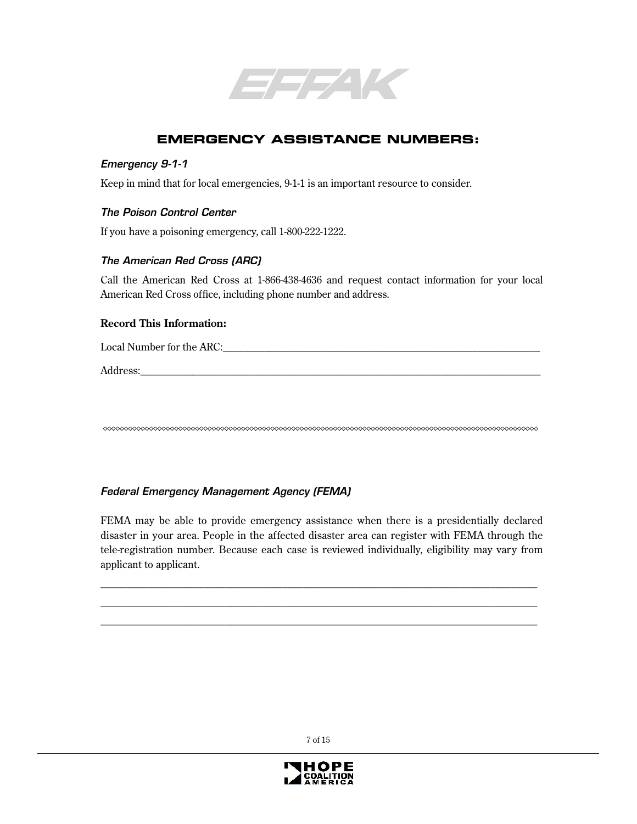

# **EMERGENCY ASSISTANCE NUMBERS:**

#### Emergency 9-1-1

Keep in mind that for local emergencies, 9-1-1 is an important resource to consider.

#### The Poison Control Center

If you have a poisoning emergency, call 1-800-222-1222.

#### The American Red Cross (ARC)

Call the American Red Cross at 1-866-438-4636 and request contact information for your local American Red Cross office, including phone number and address.

#### **Record This Information:**

Local Number for the ARC:

Address:

### Federal Emergency Management Agency (FEMA)

FEMA may be able to provide emergency assistance when there is a presidentially declared disaster in your area. People in the affected disaster area can register with FEMA through the tele-registration number. Because each case is reviewed individually, eligibility may vary from applicant to applicant.

\_\_\_\_\_\_\_\_\_\_\_\_\_\_\_\_\_\_\_\_\_\_\_\_\_\_\_\_\_\_\_\_\_\_\_\_\_\_\_\_\_\_\_\_\_\_\_\_\_\_\_\_\_\_\_\_\_\_\_\_\_\_\_\_\_\_\_\_\_\_\_\_\_\_\_\_\_\_\_\_\_\_\_\_ \_\_\_\_\_\_\_\_\_\_\_\_\_\_\_\_\_\_\_\_\_\_\_\_\_\_\_\_\_\_\_\_\_\_\_\_\_\_\_\_\_\_\_\_\_\_\_\_\_\_\_\_\_\_\_\_\_\_\_\_\_\_\_\_\_\_\_\_\_\_\_\_\_\_\_\_\_\_\_\_\_\_\_\_ \_\_\_\_\_\_\_\_\_\_\_\_\_\_\_\_\_\_\_\_\_\_\_\_\_\_\_\_\_\_\_\_\_\_\_\_\_\_\_\_\_\_\_\_\_\_\_\_\_\_\_\_\_\_\_\_\_\_\_\_\_\_\_\_\_\_\_\_\_\_\_\_\_\_\_\_\_\_\_\_\_\_\_\_

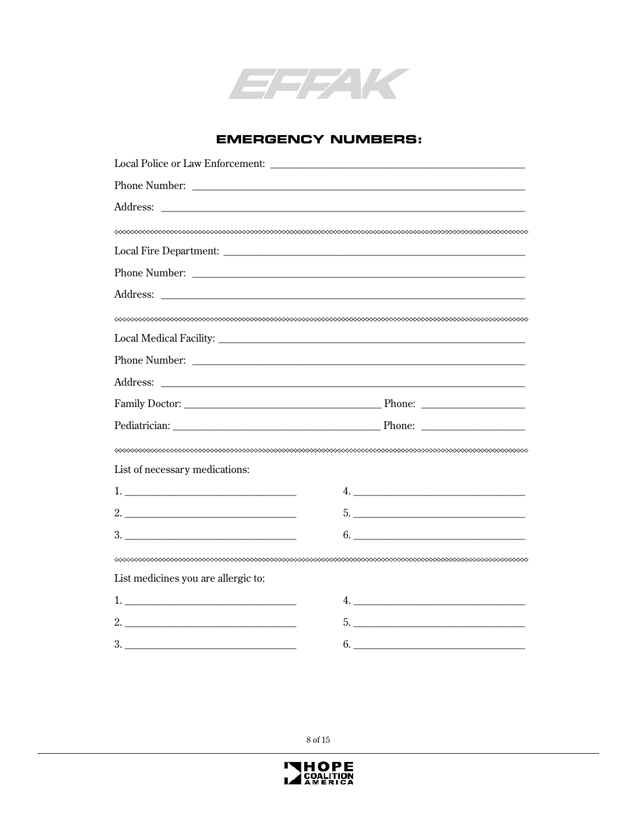

### **EMERGENCY NUMBERS:**

|                                     | Address: <u>Address:</u> Address: Address: Address: Address: Address: Address: Address: Address: Address: Address: Address: Address: Address: Address: Address: Address: Address: Address: Address: Address: Address: Address: Addr |
|-------------------------------------|-------------------------------------------------------------------------------------------------------------------------------------------------------------------------------------------------------------------------------------|
|                                     |                                                                                                                                                                                                                                     |
|                                     |                                                                                                                                                                                                                                     |
|                                     |                                                                                                                                                                                                                                     |
| List of necessary medications:      |                                                                                                                                                                                                                                     |
|                                     |                                                                                                                                                                                                                                     |
|                                     |                                                                                                                                                                                                                                     |
|                                     | $6. \underline{\hspace{2cm}}$                                                                                                                                                                                                       |
|                                     |                                                                                                                                                                                                                                     |
| List medicines you are allergic to: |                                                                                                                                                                                                                                     |
|                                     |                                                                                                                                                                                                                                     |
|                                     | $5.$ $\overline{\phantom{a}}$                                                                                                                                                                                                       |
| 3.                                  | 6.                                                                                                                                                                                                                                  |

 $8$  of  $15\,$ 

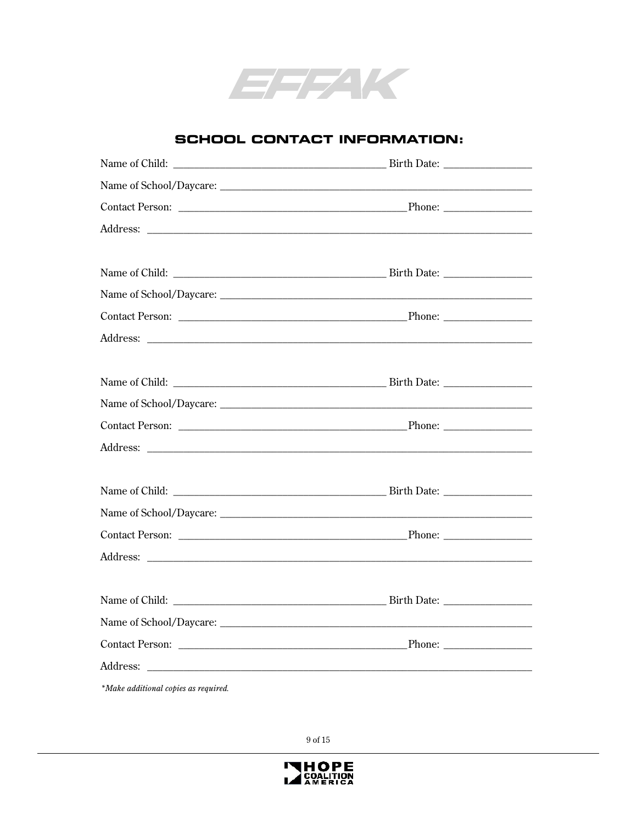

### **SCHOOL CONTACT INFORMATION:**

| *Make additional copies as required. |  |
|--------------------------------------|--|

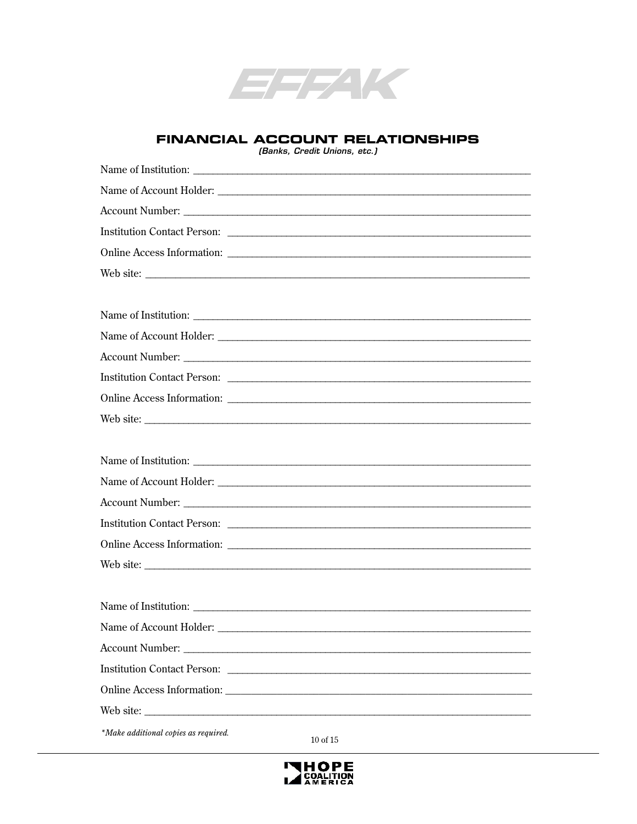

### **FINANCIAL ACCOUNT RELATIONSHIPS**

(Banks, Credit Unions, etc.)

| Institution Contact Person:                                                                                                                                                                                                    |
|--------------------------------------------------------------------------------------------------------------------------------------------------------------------------------------------------------------------------------|
| Online Access Information: Lateral Contract Contract Contract Contract Contract Contract Contract Contract Contract Contract Contract Contract Contract Contract Contract Contract Contract Contract Contract Contract Contrac |
|                                                                                                                                                                                                                                |
|                                                                                                                                                                                                                                |
|                                                                                                                                                                                                                                |
|                                                                                                                                                                                                                                |
| Account Number: Lawrence and Contact Contact Contact Contact Contact Contact Contact Contact Contact Contact Contact Contact Contact Contact Contact Contact Contact Contact Contact Contact Contact Contact Contact Contact C |
| Institution Contact Person: Later and Contact Person: Later and Contact Person: Later and Contact Person:                                                                                                                      |
|                                                                                                                                                                                                                                |
| Web site:                                                                                                                                                                                                                      |
|                                                                                                                                                                                                                                |
|                                                                                                                                                                                                                                |
|                                                                                                                                                                                                                                |
| Account Number: National Account Number:                                                                                                                                                                                       |
|                                                                                                                                                                                                                                |
|                                                                                                                                                                                                                                |
| Web site:                                                                                                                                                                                                                      |
|                                                                                                                                                                                                                                |
|                                                                                                                                                                                                                                |
| Name of Account Holder:                                                                                                                                                                                                        |
| Account Number:                                                                                                                                                                                                                |
|                                                                                                                                                                                                                                |
|                                                                                                                                                                                                                                |
| Web site:                                                                                                                                                                                                                      |
| *Make additional copies as required.<br>10 of 15                                                                                                                                                                               |

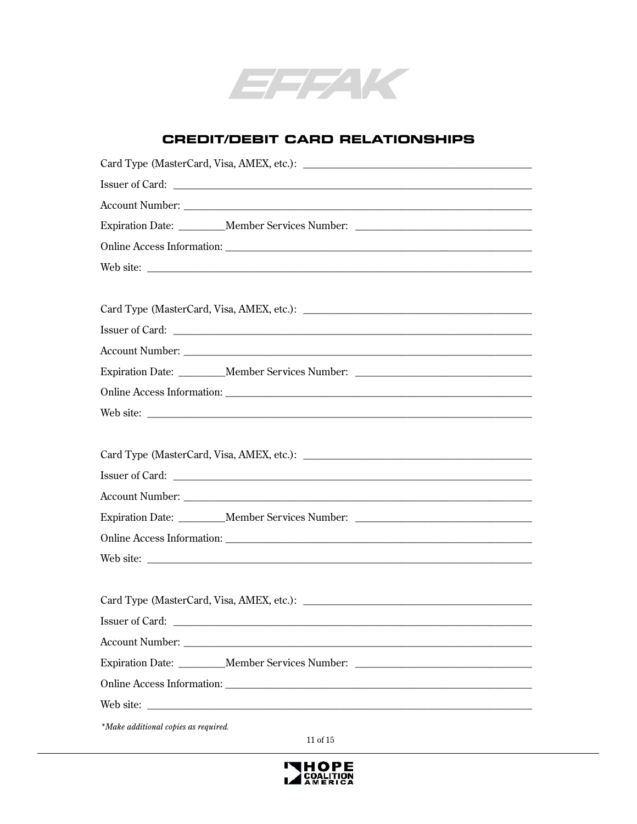

### **CREDIT/DEBIT CARD RELATIONSHIPS**

| Expiration Date: _________Member Services Number: ______________________________                                                                                                                                                     |
|--------------------------------------------------------------------------------------------------------------------------------------------------------------------------------------------------------------------------------------|
|                                                                                                                                                                                                                                      |
|                                                                                                                                                                                                                                      |
|                                                                                                                                                                                                                                      |
|                                                                                                                                                                                                                                      |
|                                                                                                                                                                                                                                      |
| Account Number: <u>and a series of the series of the series of the series of the series of the series of the series of the series of the series of the series of the series of the series of the series of the series of the ser</u> |
| Expiration Date: _________Member Services Number: ______________________________                                                                                                                                                     |
|                                                                                                                                                                                                                                      |
|                                                                                                                                                                                                                                      |
|                                                                                                                                                                                                                                      |
|                                                                                                                                                                                                                                      |
|                                                                                                                                                                                                                                      |
|                                                                                                                                                                                                                                      |
| Expiration Date: _________Member Services Number: ______________________________                                                                                                                                                     |
|                                                                                                                                                                                                                                      |
|                                                                                                                                                                                                                                      |
|                                                                                                                                                                                                                                      |
|                                                                                                                                                                                                                                      |
| Issuer of Card:                                                                                                                                                                                                                      |
|                                                                                                                                                                                                                                      |
| Expiration Date: Member Services Number:                                                                                                                                                                                             |
|                                                                                                                                                                                                                                      |
|                                                                                                                                                                                                                                      |
| *Make additional copies as required.                                                                                                                                                                                                 |
| 11 of 15                                                                                                                                                                                                                             |

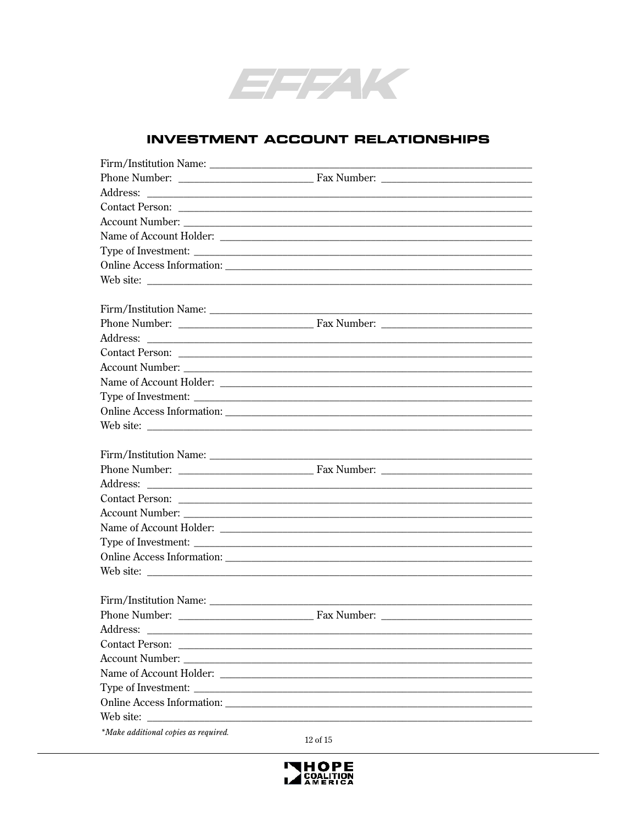

### **INVESTMENT ACCOUNT RELATIONSHIPS**

| Web site:                            |           |  |
|--------------------------------------|-----------|--|
|                                      |           |  |
|                                      |           |  |
|                                      |           |  |
|                                      |           |  |
|                                      |           |  |
| Account Number:                      |           |  |
|                                      |           |  |
|                                      |           |  |
|                                      |           |  |
|                                      |           |  |
|                                      |           |  |
|                                      |           |  |
|                                      |           |  |
|                                      |           |  |
|                                      |           |  |
|                                      |           |  |
|                                      |           |  |
|                                      |           |  |
|                                      |           |  |
|                                      | Web site: |  |
|                                      |           |  |
|                                      |           |  |
|                                      |           |  |
| Address:                             |           |  |
| Contact Person:                      |           |  |
| <b>Account Number:</b>               |           |  |
|                                      |           |  |
| Type of Investment:                  |           |  |
| <b>Online Access Information:</b>    |           |  |
| Web site:                            |           |  |
| *Make additional copies as required. |           |  |
|                                      | 12 of 15  |  |

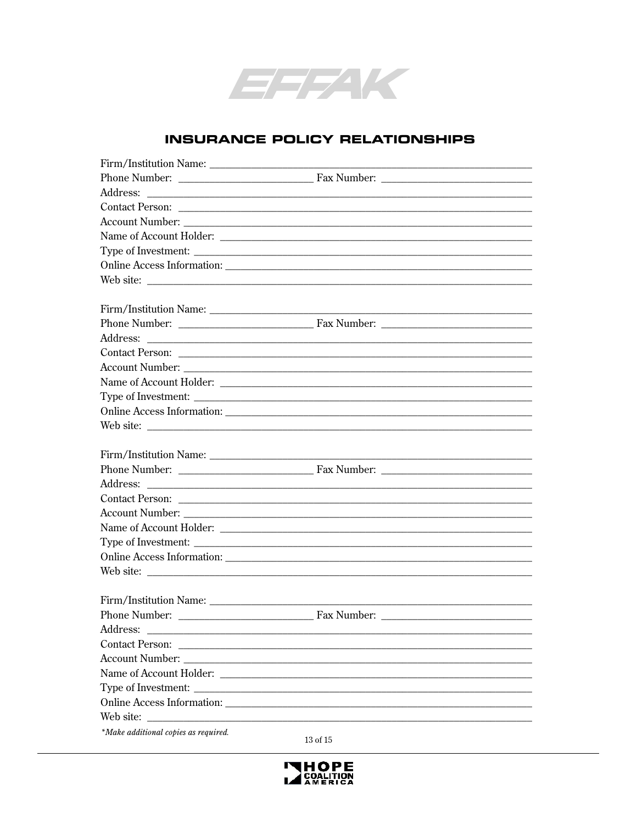

### **INSURANCE POLICY RELATIONSHIPS**

| Web site:                                 |                |  |
|-------------------------------------------|----------------|--|
|                                           |                |  |
|                                           |                |  |
|                                           |                |  |
|                                           |                |  |
|                                           |                |  |
|                                           |                |  |
|                                           |                |  |
|                                           |                |  |
|                                           |                |  |
|                                           |                |  |
|                                           |                |  |
| Firm/Institution Name:                    |                |  |
|                                           |                |  |
|                                           |                |  |
|                                           |                |  |
|                                           |                |  |
|                                           |                |  |
|                                           |                |  |
|                                           |                |  |
|                                           |                |  |
|                                           |                |  |
|                                           |                |  |
|                                           |                |  |
| Address:                                  |                |  |
|                                           |                |  |
|                                           |                |  |
|                                           |                |  |
|                                           |                |  |
| Online Access Information: ______________ |                |  |
| Web site:                                 |                |  |
| *Make additional copies as required.      |                |  |
|                                           | $13$ of $15\,$ |  |

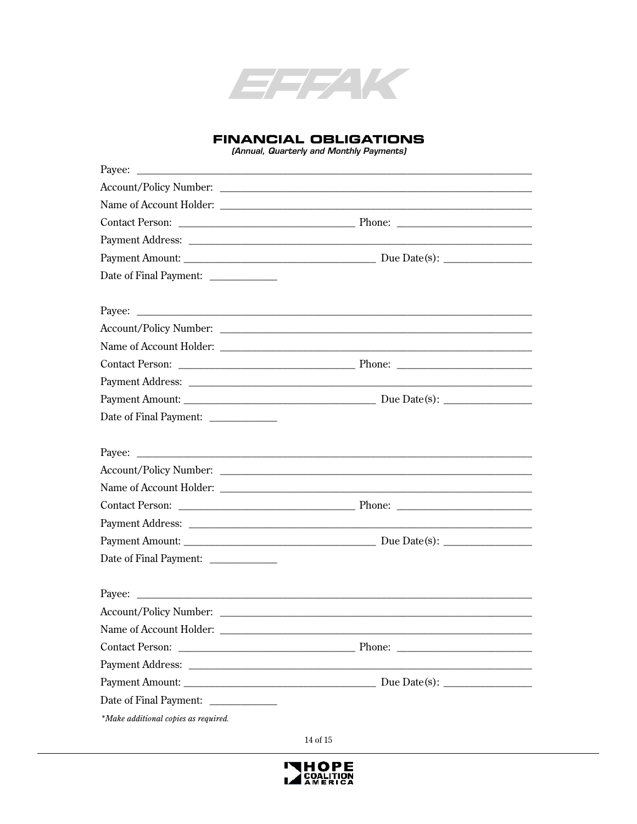

#### **FINANCIAL OBLIGATIONS**

(Annual, Quarterly and Monthly Payments)

| Date of Final Payment: _____________ |  |
|--------------------------------------|--|
|                                      |  |
| Payee:                               |  |
|                                      |  |
|                                      |  |
|                                      |  |
|                                      |  |
|                                      |  |
| Date of Final Payment: _____________ |  |
|                                      |  |
| Payee:                               |  |
|                                      |  |
|                                      |  |
|                                      |  |
|                                      |  |
|                                      |  |
| Date of Final Payment: _____________ |  |
|                                      |  |
| Payee:                               |  |
|                                      |  |
|                                      |  |
|                                      |  |
| Payment Address:                     |  |
|                                      |  |
| Date of Final Payment: _____________ |  |
| *Make additional copies as required. |  |

 $14$  of  $15\,$